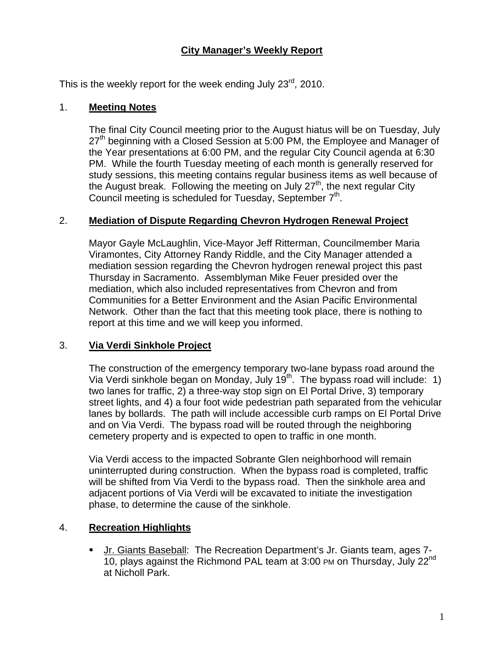## **City Manager's Weekly Report**

This is the weekly report for the week ending July 23 $^{\text{rd}}$ , 2010.

#### 1. **Meeting Notes**

The final City Council meeting prior to the August hiatus will be on Tuesday, July 27<sup>th</sup> beginning with a Closed Session at 5:00 PM, the Employee and Manager of the Year presentations at 6:00 PM, and the regular City Council agenda at 6:30 PM. While the fourth Tuesday meeting of each month is generally reserved for study sessions, this meeting contains regular business items as well because of the August break. Following the meeting on July  $27<sup>th</sup>$ , the next regular City Council meeting is scheduled for Tuesday, September  $7<sup>th</sup>$ .

### 2. **Mediation of Dispute Regarding Chevron Hydrogen Renewal Project**

Mayor Gayle McLaughlin, Vice-Mayor Jeff Ritterman, Councilmember Maria Viramontes, City Attorney Randy Riddle, and the City Manager attended a mediation session regarding the Chevron hydrogen renewal project this past Thursday in Sacramento. Assemblyman Mike Feuer presided over the mediation, which also included representatives from Chevron and from Communities for a Better Environment and the Asian Pacific Environmental Network. Other than the fact that this meeting took place, there is nothing to report at this time and we will keep you informed.

### 3. **Via Verdi Sinkhole Project**

The construction of the emergency temporary two-lane bypass road around the Via Verdi sinkhole began on Monday, July 19<sup>th</sup>. The bypass road will include: 1) two lanes for traffic, 2) a three-way stop sign on El Portal Drive, 3) temporary street lights, and 4) a four foot wide pedestrian path separated from the vehicular lanes by bollards. The path will include accessible curb ramps on El Portal Drive and on Via Verdi. The bypass road will be routed through the neighboring cemetery property and is expected to open to traffic in one month.

Via Verdi access to the impacted Sobrante Glen neighborhood will remain uninterrupted during construction. When the bypass road is completed, traffic will be shifted from Via Verdi to the bypass road. Then the sinkhole area and adjacent portions of Via Verdi will be excavated to initiate the investigation phase, to determine the cause of the sinkhole.

### 4. **Recreation Highlights**

 Jr. Giants Baseball: The Recreation Department's Jr. Giants team, ages 7- 10, plays against the Richmond PAL team at 3:00 PM on Thursday, July 22<sup>nd</sup> at Nicholl Park.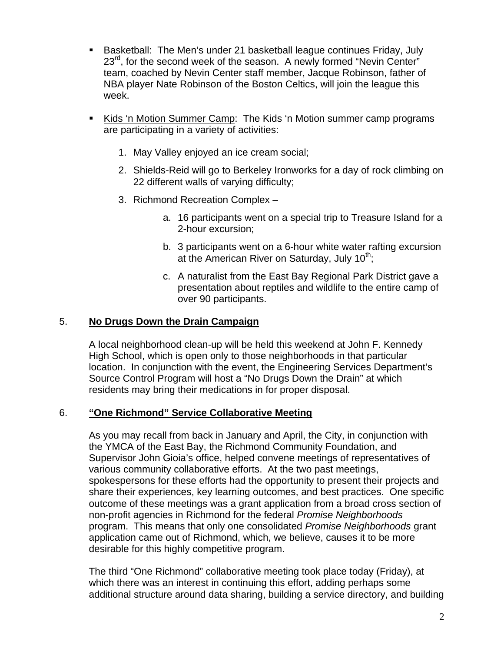- Basketball: The Men's under 21 basketball league continues Friday, July 23<sup>rd</sup>, for the second week of the season. A newly formed "Nevin Center" team, coached by Nevin Center staff member, Jacque Robinson, father of NBA player Nate Robinson of the Boston Celtics, will join the league this week.
- Kids 'n Motion Summer Camp: The Kids 'n Motion summer camp programs are participating in a variety of activities:
	- 1. May Valley enjoyed an ice cream social;
	- 2. Shields-Reid will go to Berkeley Ironworks for a day of rock climbing on 22 different walls of varying difficulty;
	- 3. Richmond Recreation Complex
		- a. 16 participants went on a special trip to Treasure Island for a 2-hour excursion;
		- b. 3 participants went on a 6-hour white water rafting excursion at the American River on Saturday, July  $10^{th}$ ;
		- c. A naturalist from the East Bay Regional Park District gave a presentation about reptiles and wildlife to the entire camp of over 90 participants.

### 5. **No Drugs Down the Drain Campaign**

A local neighborhood clean-up will be held this weekend at John F. Kennedy High School, which is open only to those neighborhoods in that particular location. In conjunction with the event, the Engineering Services Department's Source Control Program will host a "No Drugs Down the Drain" at which residents may bring their medications in for proper disposal.

### 6. **"One Richmond" Service Collaborative Meeting**

As you may recall from back in January and April, the City, in conjunction with the YMCA of the East Bay, the Richmond Community Foundation, and Supervisor John Gioia's office, helped convene meetings of representatives of various community collaborative efforts. At the two past meetings, spokespersons for these efforts had the opportunity to present their projects and share their experiences, key learning outcomes, and best practices. One specific outcome of these meetings was a grant application from a broad cross section of non-profit agencies in Richmond for the federal *Promise Neighborhoods* program. This means that only one consolidated *Promise Neighborhoods* grant application came out of Richmond, which, we believe, causes it to be more desirable for this highly competitive program.

The third "One Richmond" collaborative meeting took place today (Friday), at which there was an interest in continuing this effort, adding perhaps some additional structure around data sharing, building a service directory, and building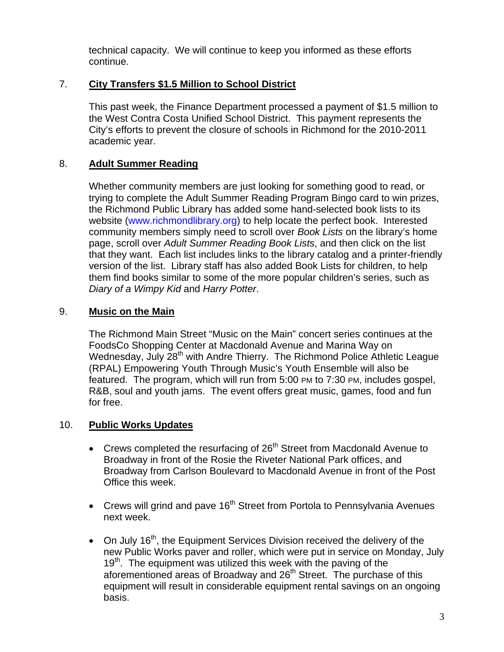technical capacity. We will continue to keep you informed as these efforts continue.

## 7. **City Transfers \$1.5 Million to School District**

This past week, the Finance Department processed a payment of \$1.5 million to the West Contra Costa Unified School District. This payment represents the City's efforts to prevent the closure of schools in Richmond for the 2010-2011 academic year.

## 8. **Adult Summer Reading**

Whether community members are just looking for something good to read, or trying to complete the Adult Summer Reading Program Bingo card to win prizes, the Richmond Public Library has added some hand-selected book lists to its website ([www.richmondlibrary.org](http://www.richmondlibrary.org/)) to help locate the perfect book. Interested community members simply need to scroll over *Book Lists* on the library's home page, scroll over *Adult Summer Reading Book Lists*, and then click on the list that they want. Each list includes links to the library catalog and a printer-friendly version of the list. Library staff has also added Book Lists for children, to help them find books similar to some of the more popular children's series, such as *Diary of a Wimpy Kid* and *Harry Potter*.

# 9. **Music on the Main**

The Richmond Main Street "Music on the Main" concert series continues at the FoodsCo Shopping Center at Macdonald Avenue and Marina Way on Wednesday, July 28<sup>th</sup> with Andre Thierry. The Richmond Police Athletic League (RPAL) Empowering Youth Through Music's Youth Ensemble will also be featured. The program, which will run from 5:00 PM to 7:30 PM, includes gospel, R&B, soul and youth jams. The event offers great music, games, food and fun for free.

## 10. **Public Works Updates**

- Crews completed the resurfacing of  $26<sup>th</sup>$  Street from Macdonald Avenue to Broadway in front of the Rosie the Riveter National Park offices, and Broadway from Carlson Boulevard to Macdonald Avenue in front of the Post Office this week.
- Crews will grind and pave  $16<sup>th</sup>$  Street from Portola to Pennsylvania Avenues next week.
- $\bullet$  On July 16<sup>th</sup>, the Equipment Services Division received the delivery of the new Public Works paver and roller, which were put in service on Monday, July 19<sup>th</sup>. The equipment was utilized this week with the paving of the aforementioned areas of Broadway and 26<sup>th</sup> Street. The purchase of this equipment will result in considerable equipment rental savings on an ongoing basis.